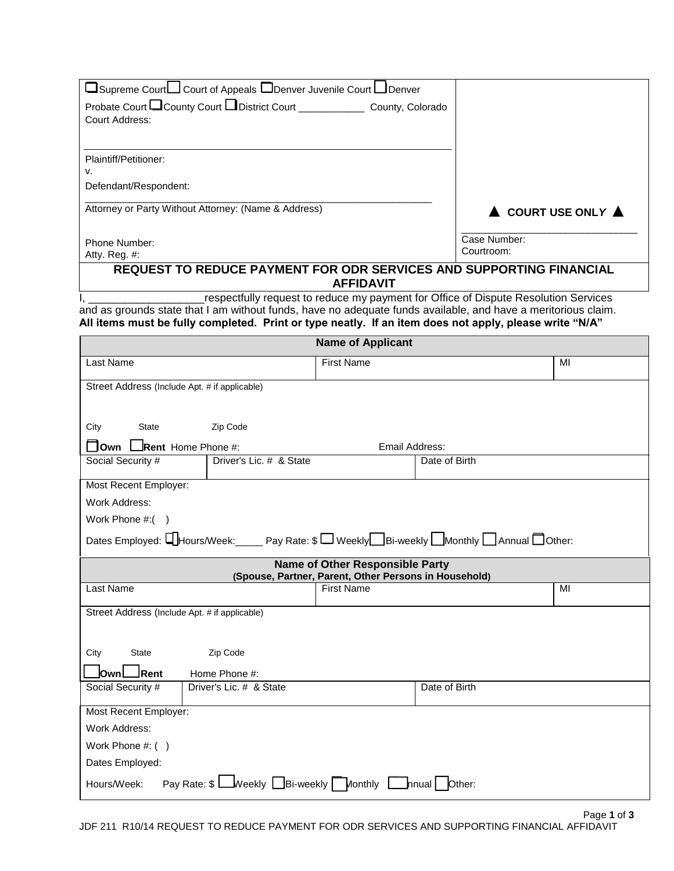| USupreme Court∪ Court of Appeals □Denver Juvenile Court □Denver                                               |                                                                            |                                                                                     |                                        |
|---------------------------------------------------------------------------------------------------------------|----------------------------------------------------------------------------|-------------------------------------------------------------------------------------|----------------------------------------|
| Probate Court County Court District Court Count County, Colorado                                              |                                                                            |                                                                                     |                                        |
| Court Address:                                                                                                |                                                                            |                                                                                     |                                        |
|                                                                                                               |                                                                            |                                                                                     |                                        |
| Plaintiff/Petitioner:                                                                                         |                                                                            |                                                                                     |                                        |
| V.                                                                                                            |                                                                            |                                                                                     |                                        |
| Defendant/Respondent:                                                                                         |                                                                            |                                                                                     |                                        |
| Attorney or Party Without Attorney: (Name & Address)                                                          |                                                                            |                                                                                     | $\triangle$ COURT USE ONLY $\triangle$ |
|                                                                                                               |                                                                            | Case Number:                                                                        |                                        |
| Phone Number:<br>Atty. Reg. #:                                                                                | Courtroom:                                                                 |                                                                                     |                                        |
| REQUEST TO REDUCE PAYMENT FOR ODR SERVICES AND SUPPORTING FINANCIAL                                           | <b>AFFIDAVIT</b>                                                           |                                                                                     |                                        |
|                                                                                                               |                                                                            | respectfully request to reduce my payment for Office of Dispute Resolution Services |                                        |
| and as grounds state that I am without funds, have no adequate funds available, and have a meritorious claim. |                                                                            |                                                                                     |                                        |
| All items must be fully completed. Print or type neatly. If an item does not apply, please write "N/A"        |                                                                            |                                                                                     |                                        |
|                                                                                                               | <b>Name of Applicant</b>                                                   |                                                                                     |                                        |
| Last Name                                                                                                     | <b>First Name</b>                                                          |                                                                                     | MI                                     |
| Street Address (Include Apt. # if applicable)                                                                 |                                                                            |                                                                                     |                                        |
|                                                                                                               |                                                                            |                                                                                     |                                        |
|                                                                                                               |                                                                            |                                                                                     |                                        |
| City<br>State<br>Zip Code                                                                                     |                                                                            |                                                                                     |                                        |
| □ Own LRent Home Phone #:                                                                                     | Email Address:                                                             |                                                                                     |                                        |
| Social Security #<br>Driver's Lic. # & State                                                                  |                                                                            | Date of Birth                                                                       |                                        |
| Most Recent Employer:                                                                                         |                                                                            |                                                                                     |                                        |
| Work Address:                                                                                                 |                                                                            |                                                                                     |                                        |
| Work Phone $\#$ : $($ )                                                                                       |                                                                            |                                                                                     |                                        |
| Dates Employed: LHours/Week: Pay Rate: \$ Weekly Bi-weekly Monthly Annual Other:                              |                                                                            |                                                                                     |                                        |
|                                                                                                               | <b>Name of Other Responsible Party</b>                                     |                                                                                     |                                        |
| Last Name                                                                                                     | (Spouse, Partner, Parent, Other Persons in Household)<br><b>First Name</b> |                                                                                     | MI                                     |
|                                                                                                               |                                                                            |                                                                                     |                                        |
| Street Address (Include Apt. # if applicable)                                                                 |                                                                            |                                                                                     |                                        |
|                                                                                                               |                                                                            |                                                                                     |                                        |
| Zip Code<br>City<br><b>State</b>                                                                              |                                                                            |                                                                                     |                                        |
| Rent<br>Home Phone #:<br><b>lOwn</b>                                                                          |                                                                            |                                                                                     |                                        |
| Driver's Lic. # & State<br>Social Security #                                                                  |                                                                            | Date of Birth                                                                       |                                        |
| Most Recent Employer:                                                                                         |                                                                            |                                                                                     |                                        |
| Work Address:                                                                                                 |                                                                            |                                                                                     |                                        |
| Work Phone #: ()                                                                                              |                                                                            |                                                                                     |                                        |
| Dates Employed:                                                                                               |                                                                            |                                                                                     |                                        |
| Pay Rate: \$ Weekly Bi-weekly Monthly Innual Other:<br>Hours/Week:                                            |                                                                            |                                                                                     |                                        |

Τ

٦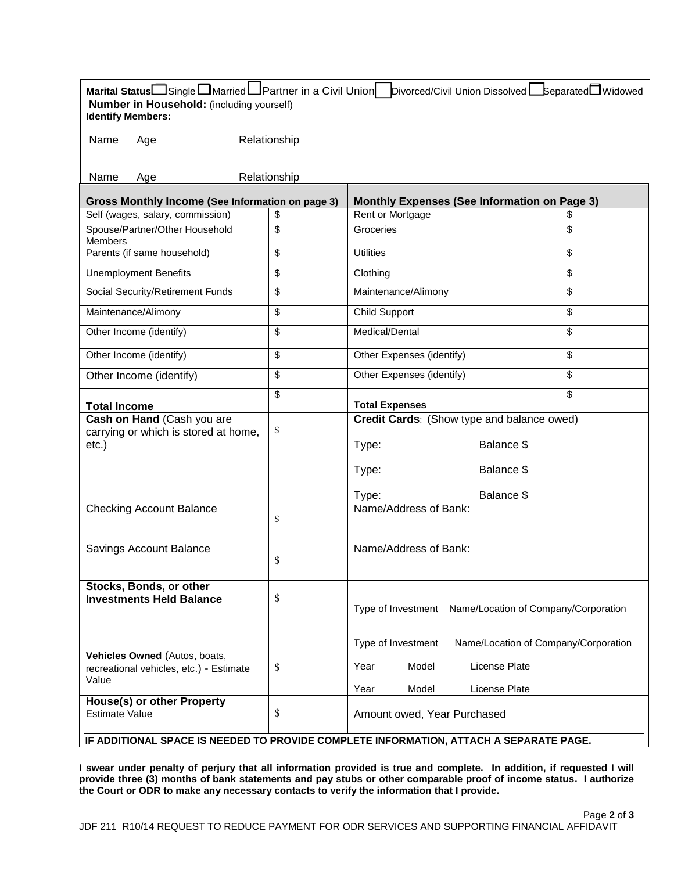| Marital Status□Single□Married□Partner in a Civil Union<br>Number in Household: (including yourself)<br><b>Identify Members:</b> |                                                  | Divorced/Civil Union Dissolved   Separated Widowed                                                              |                                                     |  |  |  |
|---------------------------------------------------------------------------------------------------------------------------------|--------------------------------------------------|-----------------------------------------------------------------------------------------------------------------|-----------------------------------------------------|--|--|--|
| Name<br>Age                                                                                                                     | Relationship                                     |                                                                                                                 |                                                     |  |  |  |
| Name<br>Age                                                                                                                     | Relationship                                     |                                                                                                                 |                                                     |  |  |  |
|                                                                                                                                 | Gross Monthly Income (See Information on page 3) |                                                                                                                 | <b>Monthly Expenses (See Information on Page 3)</b> |  |  |  |
| Self (wages, salary, commission)                                                                                                | \$                                               | Rent or Mortgage                                                                                                | \$                                                  |  |  |  |
| Spouse/Partner/Other Household<br>Members                                                                                       | \$                                               | Groceries                                                                                                       | \$                                                  |  |  |  |
| Parents (if same household)                                                                                                     | \$                                               | <b>Utilities</b><br>$\overline{\mathbf{S}}$                                                                     |                                                     |  |  |  |
| <b>Unemployment Benefits</b>                                                                                                    | \$                                               | Clothing                                                                                                        | \$                                                  |  |  |  |
| Social Security/Retirement Funds                                                                                                | \$                                               | \$<br>Maintenance/Alimony                                                                                       |                                                     |  |  |  |
| Maintenance/Alimony                                                                                                             | \$                                               | <b>Child Support</b><br>$\overline{\mathbf{S}}$                                                                 |                                                     |  |  |  |
| Other Income (identify)                                                                                                         | \$                                               | Medical/Dental                                                                                                  | \$                                                  |  |  |  |
| Other Income (identify)                                                                                                         | \$                                               | \$<br>Other Expenses (identify)                                                                                 |                                                     |  |  |  |
| Other Income (identify)                                                                                                         | \$                                               | Other Expenses (identify)<br>\$                                                                                 |                                                     |  |  |  |
| <b>Total Income</b>                                                                                                             | \$                                               | <b>Total Expenses</b>                                                                                           | \$                                                  |  |  |  |
| Cash on Hand (Cash you are<br>carrying or which is stored at home,<br>$etc.$ )                                                  | \$                                               | Credit Cards: (Show type and balance owed)<br>Balance \$<br>Type:<br>Type:<br>Balance \$<br>Balance \$<br>Type: |                                                     |  |  |  |
| <b>Checking Account Balance</b>                                                                                                 | \$                                               | Name/Address of Bank:                                                                                           |                                                     |  |  |  |
| Savings Account Balance                                                                                                         | \$                                               | Name/Address of Bank:                                                                                           |                                                     |  |  |  |
| Stocks, Bonds, or other<br><b>Investments Held Balance</b>                                                                      | \$                                               | Type of Investment Name/Location of Company/Corporation                                                         |                                                     |  |  |  |
| Vehicles Owned (Autos, boats,                                                                                                   |                                                  | Type of Investment<br>Name/Location of Company/Corporation                                                      |                                                     |  |  |  |
| recreational vehicles, etc.) - Estimate<br>Value                                                                                | \$                                               | Model<br>License Plate<br>Year                                                                                  |                                                     |  |  |  |
| <b>House(s) or other Property</b><br><b>Estimate Value</b>                                                                      | \$                                               | Year<br>Model<br>License Plate<br>Amount owed, Year Purchased                                                   |                                                     |  |  |  |
| IF ADDITIONAL SPACE IS NEEDED TO PROVIDE COMPLETE INFORMATION, ATTACH A SEPARATE PAGE.                                          |                                                  |                                                                                                                 |                                                     |  |  |  |

**I swear under penalty of perjury that all information provided is true and complete. In addition, if requested I will provide three (3) months of bank statements and pay stubs or other comparable proof of income status. I authorize the Court or ODR to make any necessary contacts to verify the information that I provide.**